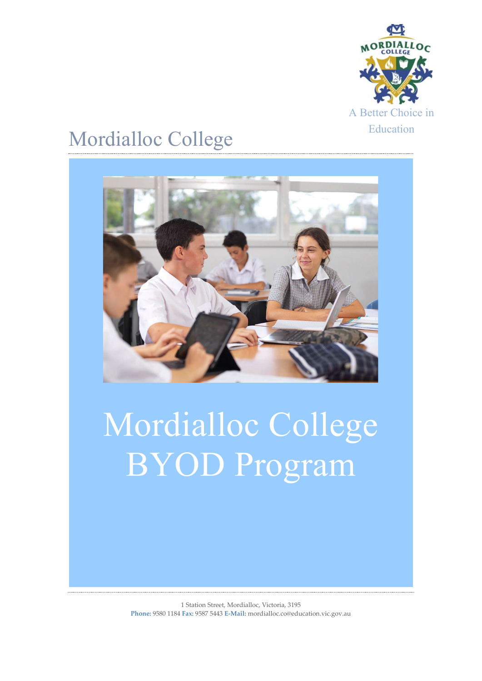

## Mordialloc College



# Mordialloc College BYOD Program

1 Station Street, Mordialloc, Victoria, 3195 **Phone:** 9580 1184 **Fax:** 9587 5443 **E-Mail:** mordialloc.co@education.vic.gov.au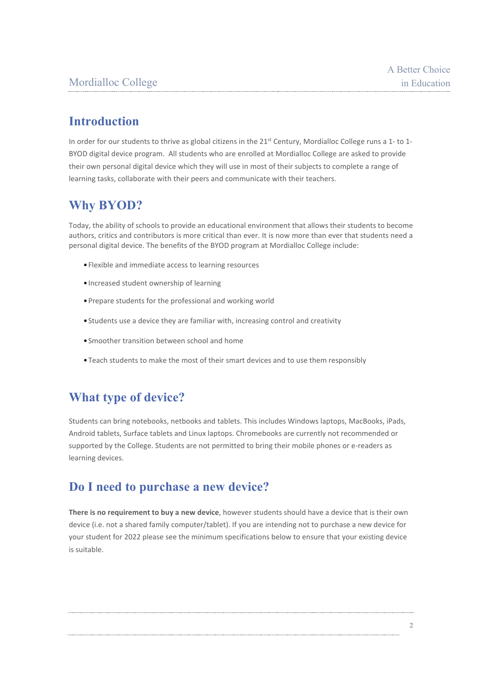## **Introduction**

In order for our students to thrive as global citizens in the  $21^{st}$  Century, Mordialloc College runs a 1- to 1-BYOD digital device program. All students who are enrolled at Mordialloc College are asked to provide their own personal digital device which they will use in most of their subjects to complete a range of learning tasks, collaborate with their peers and communicate with their teachers.

## **Why BYOD?**

Today, the ability of schools to provide an educational environment that allows their students to become authors, critics and contributors is more critical than ever. It is now more than ever that students need a personal digital device. The benefits of the BYOD program at Mordialloc College include:

- •Flexible and immediate access to learning resources
- •Increased student ownership of learning
- •Prepare students for the professional and working world
- •Students use a device they are familiar with, increasing control and creativity
- •Smoother transition between school and home
- •Teach students to make the most of their smart devices and to use them responsibly

## **What type of device?**

Students can bring notebooks, netbooks and tablets. This includes Windows laptops, MacBooks, iPads, Android tablets, Surface tablets and Linux laptops. Chromebooks are currently not recommended or supported by the College. Students are not permitted to bring their mobile phones or e-readers as learning devices.

## **Do I need to purchase a new device?**

**There is no requirement to buy a new device**, however students should have a device that is their own device (i.e. not a shared family computer/tablet). If you are intending not to purchase a new device for your student for 2022 please see the minimum specifications below to ensure that your existing device is suitable.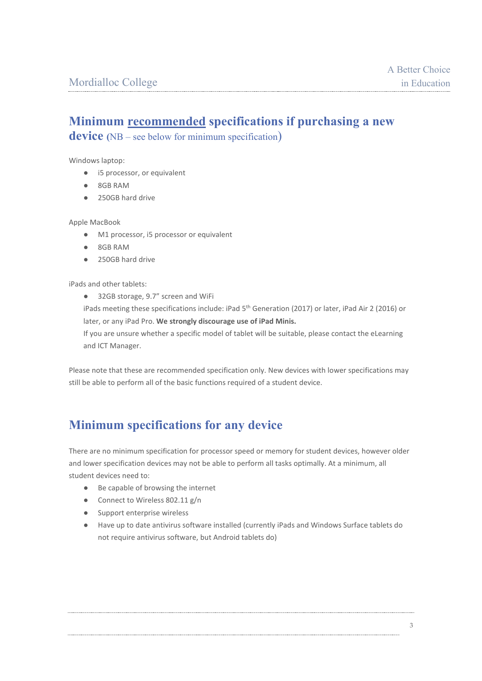## **Minimum recommended specifications if purchasing a new**

**device (**NB – see below for minimum specification)

Windows laptop:

- i5 processor, or equivalent
- 8GB RAM
- 250GB hard drive

Apple MacBook

- M1 processor, i5 processor or equivalent
- 8GB RAM
- 250GB hard drive

iPads and other tablets:

● 32GB storage, 9.7" screen and WiFi

iPads meeting these specifications include: iPad 5<sup>th</sup> Generation (2017) or later, iPad Air 2 (2016) or later, or any iPad Pro. **We strongly discourage use of iPad Minis.**

If you are unsure whether a specific model of tablet will be suitable, please contact the eLearning and ICT Manager.

Please note that these are recommended specification only. New devices with lower specifications may still be able to perform all of the basic functions required of a student device.

## **Minimum specifications for any device**

There are no minimum specification for processor speed or memory for student devices, however older and lower specification devices may not be able to perform all tasks optimally. At a minimum, all student devices need to:

- Be capable of browsing the internet
- Connect to Wireless 802.11 g/n
- Support enterprise wireless
- Have up to date antivirus software installed (currently iPads and Windows Surface tablets do not require antivirus software, but Android tablets do)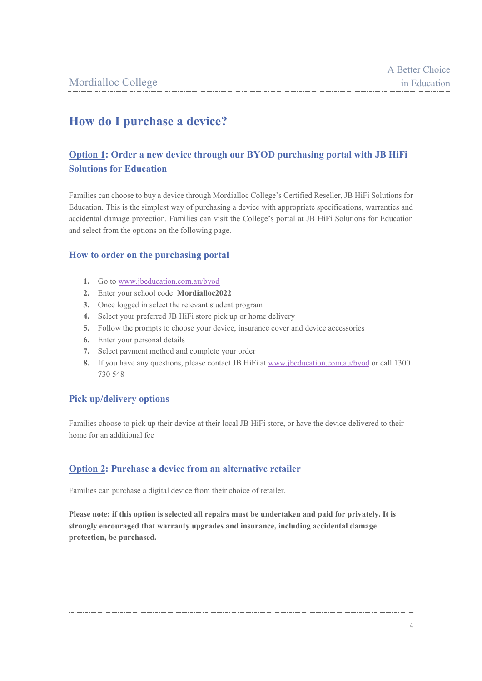## **How do I purchase a device?**

#### **Option 1: Order a new device through our BYOD purchasing portal with JB HiFi Solutions for Education**

Families can choose to buy a device through Mordialloc College's Certified Reseller, JB HiFi Solutions for Education. This is the simplest way of purchasing a device with appropriate specifications, warranties and accidental damage protection. Families can visit the College's portal at JB HiFi Solutions for Education and select from the options on the following page.

#### **How to order on the purchasing portal**

- **1.** Go to [www.jbeducation.com.au/byod](http://www.jbeducation.com.au/byod)
- **2.** Enter your school code: **Mordialloc2022**
- **3.** Once logged in select the relevant student program
- **4.** Select your preferred JB HiFi store pick up or home delivery
- **5.** Follow the prompts to choose your device, insurance cover and device accessories
- **6.** Enter your personal details
- **7.** Select payment method and complete your order
- **8.** If you have any questions, please contact JB HiFi at [www.jbeducation.com.au/byod](http://www.jbeducation.com.au/byod) or call 1300 730 548

#### **Pick up/delivery options**

Families choose to pick up their device at their local JB HiFi store, or have the device delivered to their home for an additional fee

#### **Option 2: Purchase a device from an alternative retailer**

Families can purchase a digital device from their choice of retailer.

**Please note: if this option is selected all repairs must be undertaken and paid for privately. It is strongly encouraged that warranty upgrades and insurance, including accidental damage protection, be purchased.**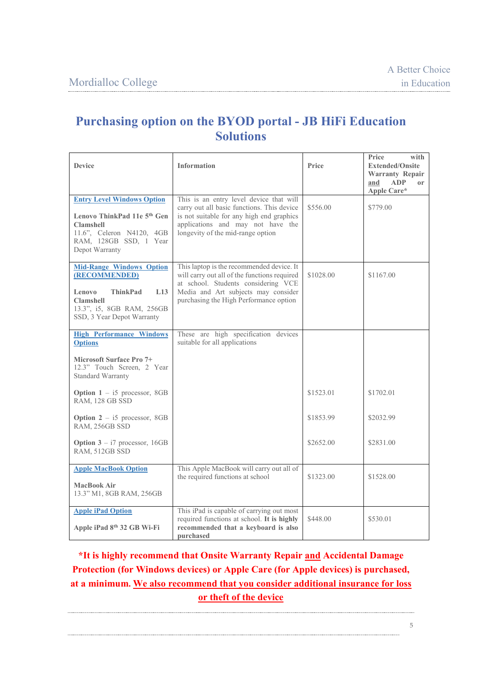## **Purchasing option on the BYOD portal - JB HiFi Education Solutions**

| <b>Device</b>                                                                                                                                                                           | <b>Information</b>                                                                                                                                                                                                | Price                  | Price<br>with<br><b>Extended/Onsite</b><br><b>Warranty Repair</b><br>and<br><b>ADP</b><br>or<br>Apple Care* |
|-----------------------------------------------------------------------------------------------------------------------------------------------------------------------------------------|-------------------------------------------------------------------------------------------------------------------------------------------------------------------------------------------------------------------|------------------------|-------------------------------------------------------------------------------------------------------------|
| <b>Entry Level Windows Option</b><br>Lenovo ThinkPad 11e 5 <sup>th</sup> Gen<br><b>Clamshell</b><br>11.6", Celeron N4120, 4GB<br>RAM, 128GB SSD, 1 Year<br>Depot Warranty               | This is an entry level device that will<br>carry out all basic functions. This device<br>is not suitable for any high end graphics<br>applications and may not have the<br>longevity of the mid-range option      | \$556.00               | \$779.00                                                                                                    |
| <b>Mid-Range Windows Option</b><br>(RECOMMENDED)<br><b>ThinkPad</b><br>L <sub>13</sub><br>Lenovo<br><b>Clamshell</b><br>13.3", i5, 8GB RAM, 256GB<br>SSD, 3 Year Depot Warranty         | This laptop is the recommended device. It<br>will carry out all of the functions required<br>at school. Students considering VCE<br>Media and Art subjects may consider<br>purchasing the High Performance option | \$1028.00              | \$1167.00                                                                                                   |
| <b>High Performance Windows</b><br><b>Options</b><br><b>Microsoft Surface Pro 7+</b><br>12.3" Touch Screen, 2 Year<br><b>Standard Warranty</b><br><b>Option</b> $1 - i5$ processor, 8GB | These are high specification devices<br>suitable for all applications                                                                                                                                             | \$1523.01              | \$1702.01                                                                                                   |
| RAM, 128 GB SSD<br><b>Option 2</b> - i5 processor, 8GB<br>RAM, 256GB SSD<br><b>Option 3</b> – $i7$ processor, 16GB<br>RAM, 512GB SSD                                                    |                                                                                                                                                                                                                   | \$1853.99<br>\$2652.00 | \$2032.99<br>\$2831.00                                                                                      |
| <b>Apple MacBook Option</b><br><b>MacBook Air</b><br>13.3" M1, 8GB RAM, 256GB                                                                                                           | This Apple MacBook will carry out all of<br>the required functions at school                                                                                                                                      | \$1323.00              | \$1528.00                                                                                                   |
| <b>Apple iPad Option</b><br>Apple iPad 8th 32 GB Wi-Fi                                                                                                                                  | This iPad is capable of carrying out most<br>required functions at school. It is highly<br>recommended that a keyboard is also<br>purchased                                                                       | \$448.00               | \$530.01                                                                                                    |

## **\*It is highly recommend that Onsite Warranty Repair and Accidental Damage Protection (for Windows devices) or Apple Care (for Apple devices) is purchased, at a minimum. We also recommend that you consider additional insurance for loss or theft of the device**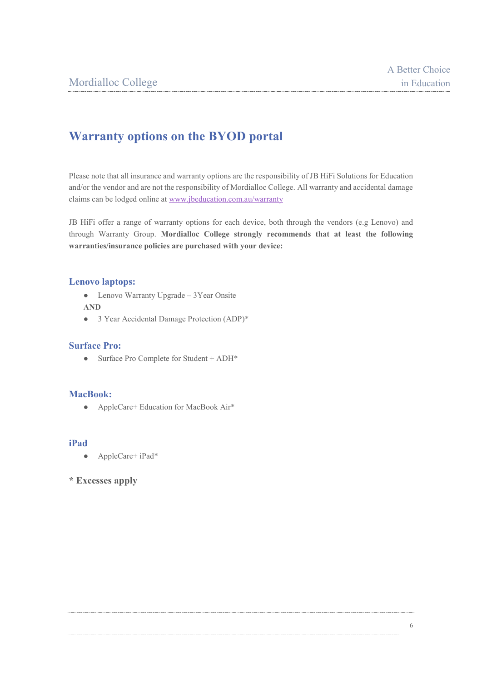## **Warranty options on the BYOD portal**

Please note that all insurance and warranty options are the responsibility of JB HiFi Solutions for Education and/or the vendor and are not the responsibility of Mordialloc College. All warranty and accidental damage claims can be lodged online at [www.jbeducation.com.au/warranty](http://www.jbeducation.com.au/warranty)

JB HiFi offer a range of warranty options for each device, both through the vendors (e.g Lenovo) and through Warranty Group. **Mordialloc College strongly recommends that at least the following warranties/insurance policies are purchased with your device:**

#### **Lenovo laptops:**

- Lenovo Warranty Upgrade 3Year Onsite **AND**
- 3 Year Accidental Damage Protection (ADP)\*

#### **Surface Pro:**

● Surface Pro Complete for Student + ADH\*

#### **MacBook:**

● AppleCare+ Education for MacBook Air\*

#### **iPad**

● AppleCare+ iPad\*

#### **\* Excesses apply**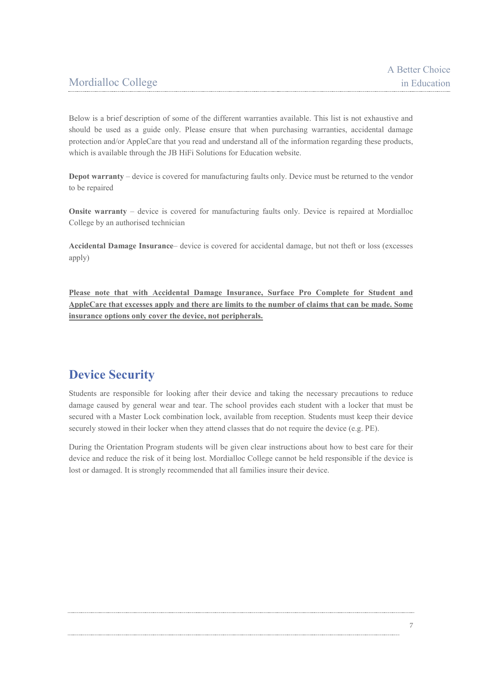Below is a brief description of some of the different warranties available. This list is not exhaustive and should be used as a guide only. Please ensure that when purchasing warranties, accidental damage protection and/or AppleCare that you read and understand all of the information regarding these products, which is available through the JB HiFi Solutions for Education website.

**Depot warranty** – device is covered for manufacturing faults only. Device must be returned to the vendor to be repaired

**Onsite warranty** – device is covered for manufacturing faults only. Device is repaired at Mordialloc College by an authorised technician

**Accidental Damage Insurance**– device is covered for accidental damage, but not theft or loss (excesses apply)

**Please note that with Accidental Damage Insurance, Surface Pro Complete for Student and AppleCare that excesses apply and there are limits to the number of claims that can be made. Some insurance options only cover the device, not peripherals.**

## **Device Security**

Students are responsible for looking after their device and taking the necessary precautions to reduce damage caused by general wear and tear. The school provides each student with a locker that must be secured with a Master Lock combination lock, available from reception. Students must keep their device securely stowed in their locker when they attend classes that do not require the device (e.g. PE).

During the Orientation Program students will be given clear instructions about how to best care for their device and reduce the risk of it being lost. Mordialloc College cannot be held responsible if the device is lost or damaged. It is strongly recommended that all families insure their device.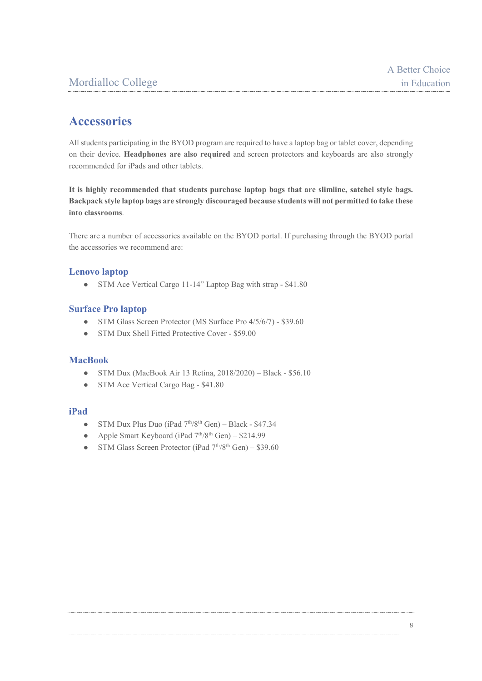## **Accessories**

All students participating in the BYOD program are required to have a laptop bag or tablet cover, depending on their device. **Headphones are also required** and screen protectors and keyboards are also strongly recommended for iPads and other tablets.

**It is highly recommended that students purchase laptop bags that are slimline, satchel style bags. Backpack style laptop bags are strongly discouraged because students will not permitted to take these into classrooms**.

There are a number of accessories available on the BYOD portal. If purchasing through the BYOD portal the accessories we recommend are:

#### **Lenovo laptop**

● STM Ace Vertical Cargo 11-14" Laptop Bag with strap - \$41.80

#### **Surface Pro laptop**

- STM Glass Screen Protector (MS Surface Pro 4/5/6/7) \$39.60
- STM Dux Shell Fitted Protective Cover \$59.00

#### **MacBook**

- STM Dux (MacBook Air 13 Retina, 2018/2020) Black \$56.10
- STM Ace Vertical Cargo Bag \$41.80

#### **iPad**

- STM Dux Plus Duo (iPad  $7^{th}/8^{th}$  Gen) Black \$47.34
- Apple Smart Keyboard (iPad  $7<sup>th</sup>/8<sup>th</sup>$  Gen) \$214.99
- STM Glass Screen Protector (iPad  $7<sup>th</sup>/8<sup>th</sup>$  Gen) \$39.60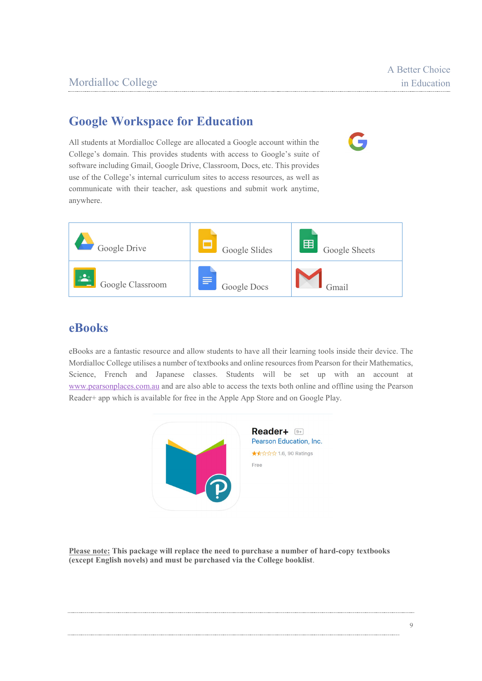## **Google Workspace for Education**

All students at Mordialloc College are allocated a Google account within the College's domain. This provides students with access to Google's suite of software including Gmail, Google Drive, Classroom, Docs, etc. This provides use of the College's internal curriculum sites to access resources, as well as communicate with their teacher, ask questions and submit work anytime, anywhere.



## **eBooks**

eBooks are a fantastic resource and allow students to have all their learning tools inside their device. The Mordialloc College utilises a number of textbooks and online resources from Pearson for their Mathematics, Science, French and Japanese classes. Students will be set up with an account at [www.pearsonplaces.com.au](http://www.pearsonplaces.com.au/) and are also able to access the texts both online and offline using the Pearson Reader+ app which is available for free in the Apple App Store and on Google Play.



**Please note: This package will replace the need to purchase a number of hard-copy textbooks (except English novels) and must be purchased via the College booklist**.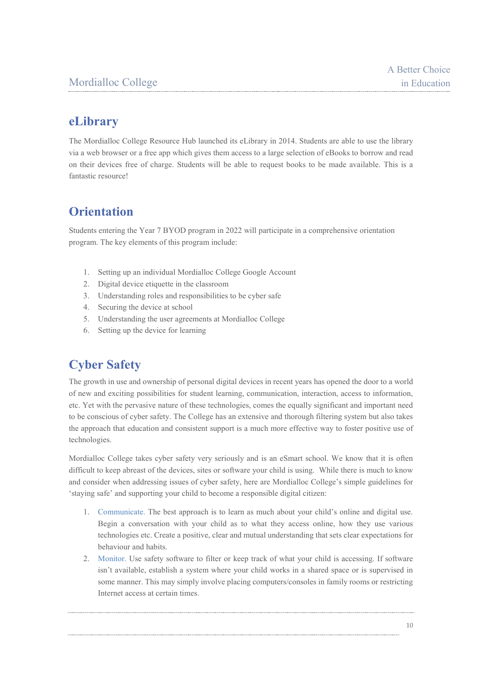## **eLibrary**

The Mordialloc College Resource Hub launched its eLibrary in 2014. Students are able to use the library via a web browser or a free app which gives them access to a large selection of eBooks to borrow and read on their devices free of charge. Students will be able to request books to be made available. This is a fantastic resource!

## **Orientation**

Students entering the Year 7 BYOD program in 2022 will participate in a comprehensive orientation program. The key elements of this program include:

- 1. Setting up an individual Mordialloc College Google Account
- 2. Digital device etiquette in the classroom
- 3. Understanding roles and responsibilities to be cyber safe
- 4. Securing the device at school
- 5. Understanding the user agreements at Mordialloc College
- 6. Setting up the device for learning

## **Cyber Safety**

The growth in use and ownership of personal digital devices in recent years has opened the door to a world of new and exciting possibilities for student learning, communication, interaction, access to information, etc. Yet with the pervasive nature of these technologies, comes the equally significant and important need to be conscious of cyber safety. The College has an extensive and thorough filtering system but also takes the approach that education and consistent support is a much more effective way to foster positive use of technologies.

Mordialloc College takes cyber safety very seriously and is an eSmart school. We know that it is often difficult to keep abreast of the devices, sites or software your child is using. While there is much to know and consider when addressing issues of cyber safety, here are Mordialloc College's simple guidelines for 'staying safe' and supporting your child to become a responsible digital citizen:

- 1. Communicate. The best approach is to learn as much about your child's online and digital use. Begin a conversation with your child as to what they access online, how they use various technologies etc. Create a positive, clear and mutual understanding that sets clear expectations for behaviour and habits.
- 2. Monitor. Use safety software to filter or keep track of what your child is accessing. If software isn't available, establish a system where your child works in a shared space or is supervised in some manner. This may simply involve placing computers/consoles in family rooms or restricting Internet access at certain times.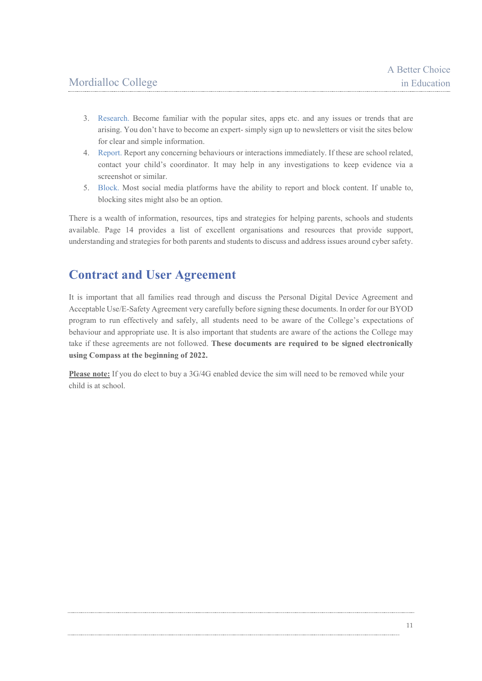- 3. Research. Become familiar with the popular sites, apps etc. and any issues or trends that are arising. You don't have to become an expert- simply sign up to newsletters or visit the sites below for clear and simple information.
- 4. Report. Report any concerning behaviours or interactions immediately. If these are school related, contact your child's coordinator. It may help in any investigations to keep evidence via a screenshot or similar.
- 5. Block. Most social media platforms have the ability to report and block content. If unable to, blocking sites might also be an option.

There is a wealth of information, resources, tips and strategies for helping parents, schools and students available. Page 14 provides a list of excellent organisations and resources that provide support, understanding and strategies for both parents and students to discuss and address issues around cyber safety.

### **Contract and User Agreement**

It is important that all families read through and discuss the Personal Digital Device Agreement and Acceptable Use/E-Safety Agreement very carefully before signing these documents. In order for our BYOD program to run effectively and safely, all students need to be aware of the College's expectations of behaviour and appropriate use. It is also important that students are aware of the actions the College may take if these agreements are not followed. **These documents are required to be signed electronically using Compass at the beginning of 2022.**

**Please note:** If you do elect to buy a 3G/4G enabled device the sim will need to be removed while your child is at school.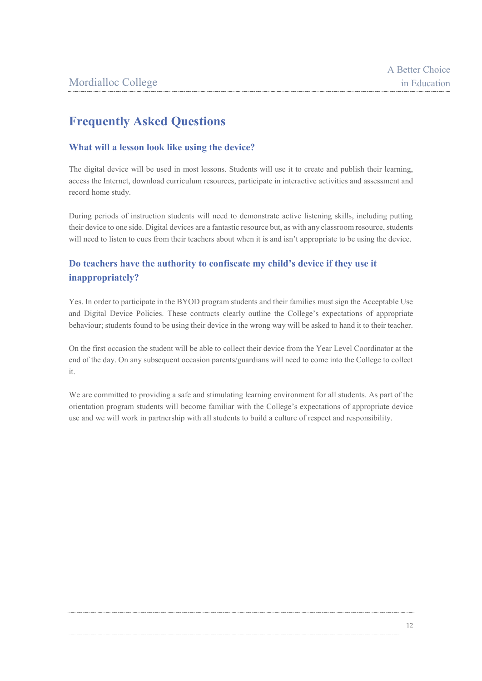## **Frequently Asked Questions**

#### **What will a lesson look like using the device?**

The digital device will be used in most lessons. Students will use it to create and publish their learning, access the Internet, download curriculum resources, participate in interactive activities and assessment and record home study.

During periods of instruction students will need to demonstrate active listening skills, including putting their device to one side. Digital devices are a fantastic resource but, as with any classroom resource, students will need to listen to cues from their teachers about when it is and isn't appropriate to be using the device.

#### **Do teachers have the authority to confiscate my child's device if they use it inappropriately?**

Yes. In order to participate in the BYOD program students and their families must sign the Acceptable Use and Digital Device Policies. These contracts clearly outline the College's expectations of appropriate behaviour; students found to be using their device in the wrong way will be asked to hand it to their teacher.

On the first occasion the student will be able to collect their device from the Year Level Coordinator at the end of the day. On any subsequent occasion parents/guardians will need to come into the College to collect it.

We are committed to providing a safe and stimulating learning environment for all students. As part of the orientation program students will become familiar with the College's expectations of appropriate device use and we will work in partnership with all students to build a culture of respect and responsibility.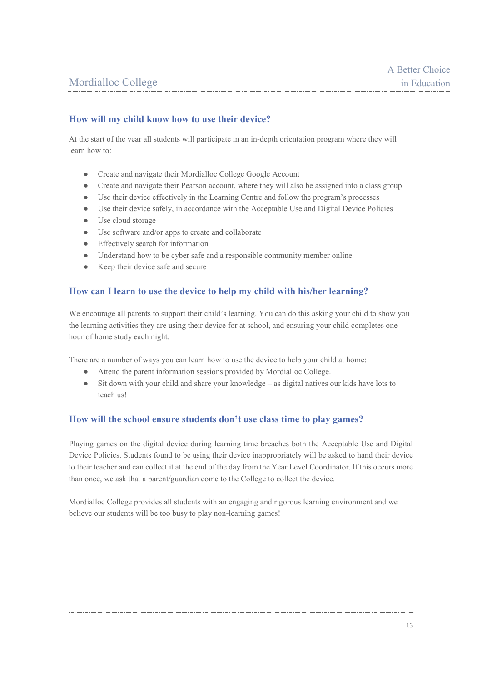#### **How will my child know how to use their device?**

At the start of the year all students will participate in an in-depth orientation program where they will learn how to:

- Create and navigate their Mordialloc College Google Account
- Create and navigate their Pearson account, where they will also be assigned into a class group
- Use their device effectively in the Learning Centre and follow the program's processes
- Use their device safely, in accordance with the Acceptable Use and Digital Device Policies
- Use cloud storage
- Use software and/or apps to create and collaborate
- Effectively search for information
- Understand how to be cyber safe and a responsible community member online
- Keep their device safe and secure

#### **How can I learn to use the device to help my child with his/her learning?**

We encourage all parents to support their child's learning. You can do this asking your child to show you the learning activities they are using their device for at school, and ensuring your child completes one hour of home study each night.

There are a number of ways you can learn how to use the device to help your child at home:

- Attend the parent information sessions provided by Mordialloc College.
- Sit down with your child and share your knowledge as digital natives our kids have lots to teach us!

#### **How will the school ensure students don't use class time to play games?**

Playing games on the digital device during learning time breaches both the Acceptable Use and Digital Device Policies. Students found to be using their device inappropriately will be asked to hand their device to their teacher and can collect it at the end of the day from the Year Level Coordinator. If this occurs more than once, we ask that a parent/guardian come to the College to collect the device.

Mordialloc College provides all students with an engaging and rigorous learning environment and we believe our students will be too busy to play non-learning games!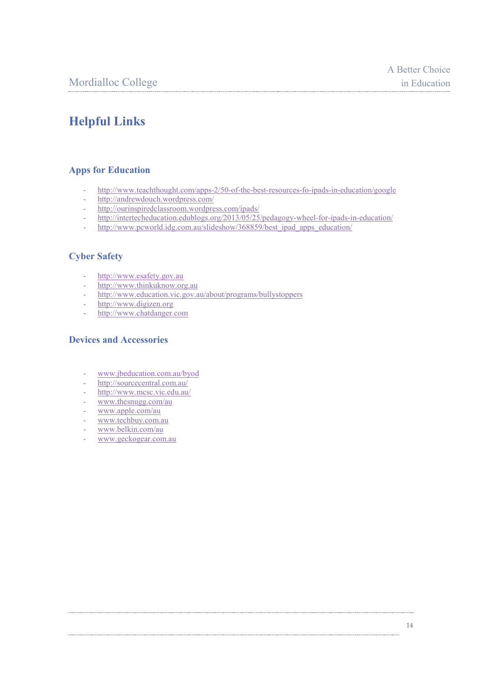## **Helpful Links**

#### **Apps for Education**

- <http://www.teachthought.com/apps-2/50-of-the-best-resources-fo-ipads-in-education/google>
- <http://andrewdouch.wordpress.com/>
- <http://ourinspiredclassroom.wordpress.com/ipads/>
- <http://intertecheducation.edublogs.org/2013/05/25/pedagogy-wheel-for-ipads-in-education/>
- [http://www.pcworld.idg.com.au/slideshow/368859/best\\_ipad\\_apps\\_education/](http://www.pcworld.idg.com.au/slideshow/368859/best_ipad_apps_education/)

#### **Cyber Safety**

- [http://www.esafety.gov.au](http://www.esafety.gov.au/)
- [http://www.thinkuknow.org.au](http://www.thinkuknow.org.au/)
- <http://www.education.vic.gov.au/about/programs/bullystoppers>
- [http://www.digizen.org](http://www.digizen.org/)
- [http://www.chatdanger.com](http://www.chatdanger.com/)

#### **Devices and Accessories**

- [www.jbeducation.com.au/byod](http://www.jbeducation.com.au/byod)
- <http://sourcecentral.com.au/>
- http://www.mcsc.vic.edu.au/
- www.thesnugg.com/au
- www.apple.com/au
- [www.techbuy.com.au](http://www.techbuy.com.au/)
- www.belkin.com/au
- [www.geckogear.com.au](http://www.geckogear.com.au/)